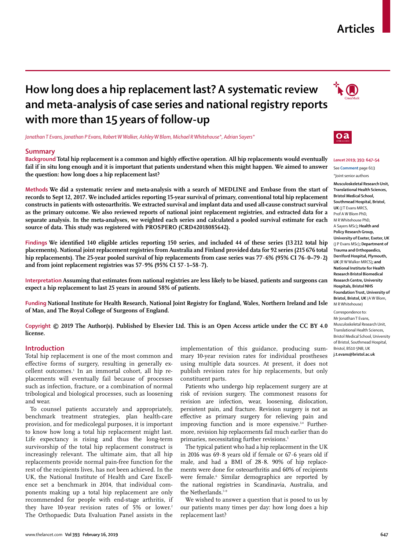## **Articles**

# **How long does a hip replacement last? A systematic review and meta-analysis of case series and national registry reports with more than 15 years of follow-up**

*Jonathan T Evans, Jonathan P Evans, Robert W Walker, Ashley W Blom, Michael R Whitehouse\*, Adrian Sayers\**

#### **Summary**

**Background Total hip replacement is a common and highly effective operation. All hip replacements would eventually fail if in situ long enough and it is important that patients understand when this might happen. We aimed to answer the question: how long does a hip replacement last?**

**Methods We did a systematic review and meta-analysis with a search of MEDLINE and Embase from the start of records to Sept 12, 2017. We included articles reporting 15-year survival of primary, conventional total hip replacement constructs in patients with osteoarthritis. We extracted survival and implant data and used all-cause construct survival as the primary outcome. We also reviewed reports of national joint replacement registries, and extracted data for a separate analysis. In the meta-analyses, we weighted each series and calculated a pooled survival estimate for each source of data. This study was registered with PROSPERO (CRD42018085642).**

**Findings We identified 140 eligible articles reporting 150 series, and included 44 of these series (13 212 total hip placements). National joint replacement registries from Australia and Finland provided data for 92 series (215 676 total hip replacements). The 25-year pooled survival of hip replacements from case series was 77·6% (95% CI 76·0–79·2) and from joint replacement registries was 57·9% (95% CI 57·1–58·7).**

**Interpretation Assuming that estimates from national registries are less likely to be biased, patients and surgeons can expect a hip replacement to last 25 years in around 58% of patients.**

**Funding National Institute for Health Research, National Joint Registry for England, Wales, Northern Ireland and Isle of Man, and The Royal College of Surgeons of England.**

**Copyright © 2019 The Author(s). Published by Elsevier Ltd. This is an Open Access article under the CC BY 4.0 license.**

#### **Introduction**

Total hip replacement is one of the most common and effective forms of surgery, resulting in generally excellent outcomes.1 In an immortal cohort, all hip replacements will eventually fail because of processes such as infection, fracture, or a combination of normal tribological and biological processes, such as loosening and wear.

To counsel patients accurately and appropriately, benchmark treatment strategies, plan health-care provision, and for medicolegal purposes, it is important to know how long a total hip replacement might last. Life expectancy is rising and thus the long-term survivorship of the total hip replacement construct is increasingly relevant. The ultimate aim, that all hip replacements provide normal pain-free function for the rest of the recipients lives, has not been achieved. In the UK, the National Institute of Health and Care Excellence set a benchmark in 2014, that individual components making up a total hip replacement are only recommended for people with end-stage arthritis, if they have 10-year revision rates of 5% or lower.<sup>2</sup> The Orthopaedic Data Evaluation Panel assists in the implementation of this guidance, producing summary 10-year revision rates for individual prostheses using multiple data sources. At present, it does not publish revision rates for hip replacements, but only constituent parts.

Patients who undergo hip replacement surgery are at risk of revision surgery. The commonest reasons for revision are infection, wear, loosening, dislocation, persistent pain, and fracture. Revision surgery is not as effective as primary surgery for relieving pain and improving function and is more expensive.<sup>3,4</sup> Furthermore, revision hip replacements fail much earlier than do primaries, necessitating further revisions.<sup>5</sup>

The typical patient who had a hip replacement in the UK in 2016 was 69·8 years old if female or 67·6 years old if male, and had a BMI of 28·8. 90% of hip replacements were done for osteoarthritis and 60% of recipients were female.<sup>6</sup> Similar demographics are reported by the national registries in Scandinavia, Australia, and the Netherlands.<sup>7-9</sup>

We wished to answer a question that is posed to us by our patients many times per day: how long does a hip replacement last?





#### *Lancet* **2019; 393: 647–54** See **Comment** page 613

\*Joint senior authors **Musculoskeletal Research Unit, Translational Health Sciences, Bristol Medical School, Southmead Hospital, Bristol, UK** (IT Evans MRCS) Prof A W Blom PhD, M R Whitehouse PhD, A Sayers MSc)**; Health and Policy Research Group, University of Exeter, Exeter, UK** (J P Evans MSc)**; Department of Trauma and Orthopaedics, Derriford Hospital, Plymouth, UK** (R W Walker MRCS)**; and National Institute for Health Research Bristol Biomedical Research Centre, University Hospitals, Bristol NHS Foundation Trust, University of Bristol, Bristol, UK** (A W Blom, M R Whitehouse)

Correspondence to: Mr Jonathan T Evans, Musculoskeletal Research Unit, Translational Health Sciences, Bristol Medical School, University of Bristol, Southmead Hospital, Bristol, BS10 5NB, UK **j.t.evans@bristol.ac.uk**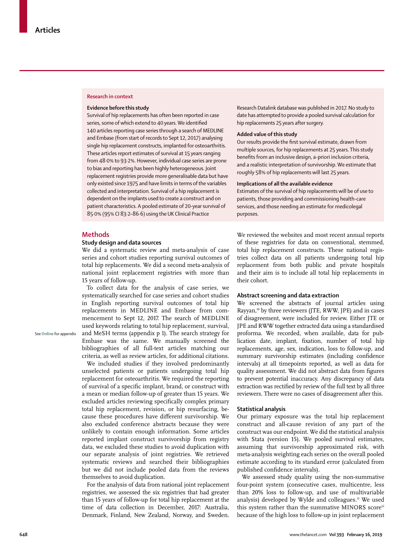#### **Research in context**

#### **Evidence before this study**

Survival of hip replacements has often been reported in case series, some of which extend to 40 years. We identified 140 articles reporting case series through a search of MEDLINE and Embase (from start of records to Sept 12, 2017) analysing single hip replacement constructs, implanted for osteoarthritis. These articles report estimates of survival at 15 years ranging from 48·0% to 93·2%. However, individual case series are prone to bias and reporting has been highly heterogeneous. Joint replacement registries provide more generalisable data but have only existed since 1975 and have limits in terms of the variables collected and interpretation. Survival of a hip replacement is dependent on the implants used to create a construct and on patient characteristics. A pooled estimate of 20-year survival of 85·0% (95% CI 83·2–86·6) using the UK Clinical Practice

Research Datalink database was published in 2017. No study to date has attempted to provide a pooled survival calculation for hip replacements 25 years after surgery.

## **Added value of this study**

Our results provide the first survival estimate, drawn from multiple sources, for hip replacements at 25 years. This study benefits from an inclusive design, a-priori inclusion criteria, and a realistic interpretation of survivorship. We estimate that roughly 58% of hip replacements will last 25 years.

#### **Implications of all the available evidence**

Estimates of the survival of hip replacements will be of use to patients, those providing and commissioning health-care services, and those needing an estimate for medicolegal purposes.

#### **Methods**

See **Online** for appendix

## **Study design and data sources**

We did a systematic review and meta-analysis of case series and cohort studies reporting survival outcomes of total hip replacements. We did a second meta-analysis of national joint replacement registries with more than 15 years of follow-up.

To collect data for the analysis of case series, we systematically searched for case series and cohort studies in English reporting survival outcomes of total hip replacements in MEDLINE and Embase from commencement to Sept 12, 2017. The search of MEDLINE used keywords relating to total hip replacement, survival, and MeSH terms (appendix p 1). The search strategy for Embase was the same. We manually screened the bibliographies of all full-text articles matching our criteria, as well as review articles, for additional citations.

We included studies if they involved predominantly unselected patients or patients undergoing total hip replacement for osteoarthritis. We required the reporting of survival of a specific implant, brand, or construct with a mean or median follow-up of greater than 15 years. We excluded articles reviewing specifically complex primary total hip replacement, revision, or hip resurfacing, because these procedures have different survivorship. We also excluded conference abstracts because they were unlikely to contain enough information. Some articles reported implant construct survivorship from registry data, we excluded these studies to avoid duplication with our separate analysis of joint registries. We retrieved systematic reviews and searched their bibliographies but we did not include pooled data from the reviews themselves to avoid duplication.

For the analysis of data from national joint replacement registries, we assessed the six registries that had greater than 15 years of follow-up for total hip replacement at the time of data collection in December, 2017: Australia, Denmark, Finland, New Zealand, Norway, and Sweden.

We reviewed the websites and most recent annual reports of these registries for data on conventional, stemmed, total hip replacement constructs. These national registries collect data on all patients undergoing total hip replacement from both public and private hospitals and their aim is to include all total hip replacements in their cohort.

#### **Abstract screening and data extraction**

We screened the abstracts of journal articles using Rayyan,<sup>10</sup> by three reviewers (JTE, RWW, JPE) and in cases of disagreement, were included for review. Either JTE or JPE and RWW together extracted data using a standardised proforma. We recorded, when available, data for publication date, implant, fixation, number of total hip replacements, age, sex, indication, loss to follow-up, and summary survivorship estimates (including confidence intervals) at all timepoints reported, as well as data for quality assessment. We did not abstract data from figures to prevent potential inaccuracy. Any discrepancy of data extraction was rectified by review of the full text by all three reviewers. There were no cases of disagreement after this.

## **Statistical analysis**

Our primary exposure was the total hip replacement construct and all-cause revision of any part of the construct was our endpoint. We did the statistical analysis with Stata (version 15). We pooled survival estimates, assuming that survivorship approximated risk, with meta-analysis weighting each series on the overall pooled estimate according to its standard error (calculated from published confidence intervals).

We assessed study quality using the non-summative four-point system (consecutive cases, multicentre, less than 20% loss to follow-up, and use of multivariable analysis) developed by Wylde and colleagues.<sup>11</sup> We used this system rather than the summative MINORS score<sup>12</sup> because of the high loss to follow-up in joint replacement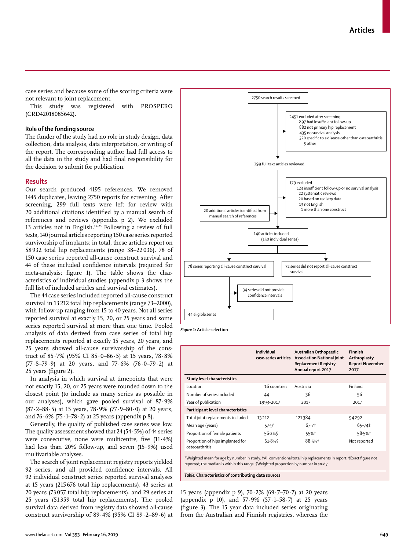case series and because some of the scoring criteria were not relevant to joint replacement.

This study was registered with PROSPERO (CRD42018085642).

## **Role of the funding source**

The funder of the study had no role in study design, data collection, data analysis, data interpretation, or writing of the report. The corresponding author had full access to all the data in the study and had final responsibility for the decision to submit for publication.

## **Results**

Our search produced 4195 references. We removed 1445 duplicates, leaving 2750 reports for screening. After screening, 299 full texts were left for review with 20 additional citations identified by a manual search of references and reviews (appendix p 2). We excluded 13 articles not in English.13–25 Following a review of full texts, 140 journal articles reporting 150 case series reported survivorship of implants; in total, these articles report on 58 932 total hip replacements (range 38–22 036). 78 of 150 case series reported all-cause construct survival and 44 of these included confidence intervals (required for meta-analysis; figure 1). The table shows the characteristics of individual studies (appendix p 3 shows the full list of included articles and survival estimates).

The 44 case series included reported all-cause construct survival in 13 212 total hip replacements (range 73–2000), with follow-up ranging from 15 to 40 years. Not all series reported survival at exactly 15, 20, or 25 years and some series reported survival at more than one time. Pooled analysis of data derived from case series of total hip replacements reported at exactly 15 years, 20 years, and 25 years showed all-cause survivorship of the construct of 85·7% (95% CI 85·0–86·5) at 15 years, 78·8% (77·8–79·9) at 20 years, and 77·6% (76·0–79·2) at 25 years (figure 2).

In analysis in which survival at timepoints that were not exactly 15, 20, or 25 years were rounded down to the closest point (to include as many series as possible in our analyses), which gave pooled survival of 87·9%  $(87.2–88.5)$  at 15 years,  $78.9%$   $(77.9–80.0)$  at 20 years, and  $76.6\%$  (75 $.1-78.2$ ) at 25 years (appendix p 8).

Generally, the quality of published case series was low. The quality assessment showed that 24 (54·5%) of 44 series were consecutive, none were multicentre, five (11·4%) had less than 20% follow-up, and seven (15·9%) used multivariable analyses.

The search of joint replacement registry reports yielded 92 series, and all provided confidence intervals. All 92 individual construct series reported survival analyses at 15 years (215 676 total hip replacements), 43 series at 20 years (73 057 total hip replacements), and 29 series at 25 years (51 359 total hip replacements). The pooled survival data derived from registry data showed all-cause construct survivorship of 89·4% (95% CI 89·2–89·6) at



*Figure 1:* **Article selection**

|                                                    | Individual<br>case-series articles | Australian Orthopaedic<br><b>Association National Joint</b><br><b>Replacement Registry</b><br>Annual report 2017 | Finnish<br>Arthroplasty<br><b>Report November</b><br>2017 |
|----------------------------------------------------|------------------------------------|------------------------------------------------------------------------------------------------------------------|-----------------------------------------------------------|
| Study level characteristics                        |                                    |                                                                                                                  |                                                           |
| Location                                           | 16 countries                       | Australia                                                                                                        | Finland                                                   |
| Number of series included                          | 44                                 | 36                                                                                                               | 56                                                        |
| Year of publication                                | 1993-2017                          | 2017                                                                                                             | 2017                                                      |
| Participant level characteristics                  |                                    |                                                                                                                  |                                                           |
| Total joint replacements included                  | 13212                              | 121384                                                                                                           | 94292                                                     |
| Mean age (years)                                   | $57.9*$                            | 67.7 <sup>†</sup>                                                                                                | 65-74‡                                                    |
| Proportion of female patients                      | 56.2%                              | 55%†                                                                                                             | 58.5%†                                                    |
| Proportion of hips implanted for<br>osteoarthritis | 61.8%                              | 88.5%+                                                                                                           | Not reported                                              |
|                                                    |                                    |                                                                                                                  |                                                           |

\*Weighted mean for age by number in study. †All conventional total hip replacements in report. ‡Exact figure not reported; the median is within this range. §Weighted proportion by number in study.

*Table:* **Characteristics of contributing data sources**

15 years (appendix p 9), 70·2% (69·7–70·7) at 20 years (appendix p 10), and 57·9% (57·1–58·7) at 25 years (figure 3). The 15 year data included series originating from the Australian and Finnish registries, whereas the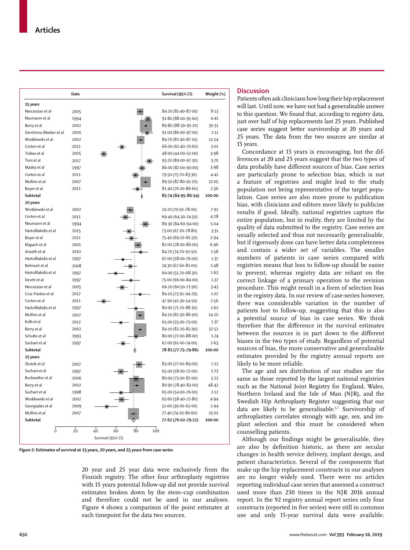|                         | Date      |                                    | Survival (95% CI)   | Weight (%) |
|-------------------------|-----------|------------------------------------|---------------------|------------|
| 15 years                |           |                                    |                     |            |
| Nercessian et al        | 2005      |                                    | 84-20 (81-40-87-00) | 8.13       |
| Neumann et al           | 1994      |                                    | 91.80 (88.00-95.60) | 4.41       |
| Berry et al             | 2002      |                                    | 89.80 (88.30-91.20) | 30.31      |
| Gerritsma-Bleeker et al | 2000      |                                    | 91.00 (86.00-97.00) | 2.11       |
| Wroblewski et al        | 2002      |                                    | 84.70 (82.40-87.10) | 11.54      |
| Corten et al            | 2011      |                                    | 66.00 (61.40-70.60) | 3.01       |
| Trebse et al            | 2005      |                                    | 48.00 (44.00-52.00) | 3.98       |
| Toni et al              | 2017      |                                    | 93.20 (89.00-97.30) | 3.70       |
| Madey et al             | 1997      |                                    | 86.00 (82.00-90.00) | 3.98       |
| Corten et al            | 2011      |                                    | 79.50 (75.70-83.30) | 4.41       |
| Mullins et al           | 2007      |                                    | 89-50 (87-80-91-20) | 22.05      |
| Boyer et al             | 2011      |                                    | 81.40 (76.20-86.60) | 2.36       |
| Subtotal                |           |                                    | 85-74 (84-95-86-54) | 100.00     |
| 20 years                |           |                                    |                     |            |
| Wroblewski et al        | 2002      |                                    | 74-20 (70-50-78-00) | 7.92       |
| Corten et al            | 2011      |                                    | 69.40 (64.30-74.50) | 4.28       |
| Neumann et al           | 1994      |                                    | 89-30 (84-60-94-00) | 5.04       |
| Hartofilakidis et al    | 2015      |                                    | 73.00 (67.20-78.80) | 3.31       |
| Boyer et al             | 2011      |                                    | 75.40 (69.20-81.50) | 2.94       |
| Klapach et al           | 2001      |                                    | 82.00 (78.00-86.00) | 6.96       |
| Anseth et al            | 2010      |                                    | 84.70 (74.70-91.50) | 1.58       |
| Hartofilakidis et al    | 1997      |                                    | 67.00 (58.00-76.00) | 1.37       |
| Belmont et al           | 2008      |                                    | 74.30 (67.60-81.00) | 2.48       |
| Hartofilakidis et al    | 1997      |                                    | 60.00 (51.70-68.30) | 1.62       |
| Devitt et al            | 1997      |                                    | 75.00 (66.00-84.00) | 1.37       |
| Nercessian et al        | 2005      |                                    | 66.20 (60.50-71.90) | 3.43       |
| Cruz-Pardos et al       | 2017      |                                    | 84-10 (73-91-94-29) | 1.07       |
| Corten et al            | 2011      |                                    | 47.90 (41.30-54.50) | 2.56       |
| Hartofilakidis et al    | 1997      |                                    | 80.00 (71.70-88.30) | 1.62       |
| Mullins et al           | 2007      |                                    | 84.10 (81.30-86.90) | 14.20      |
| Kolb et al              | 2012      |                                    | 65.00 (55.00-73.00) | 1.37       |
| Berry et al             | 2002      |                                    | 84-10 (82-20-85-90) | 32.52      |
| Schulte et al           | 1993      |                                    | 80.00 (72.00-88.00) | 1.74       |
| Sochart et al           | 1997      |                                    | 67.00 (61.00-74.00) | 2.63       |
| Subtotal                |           |                                    | 78-81 (77-75-79-86) | 100.00     |
| 25 years                |           |                                    |                     |            |
| Skutek et al            | 2007      |                                    | 83.00 (77.00-89.00) | 7.12       |
| Sochart et al           | 1997      |                                    | 65.00 (58.00-72.00) | 5.23       |
| Buckwalter et al        | 2006      |                                    | 80.00 (73.00-87.00) | 5.23       |
| Berry et al             | 2002      |                                    | 80.90 (78.40-83.00) | 48.42      |
| Sochart et al           | 1998      |                                    | 65.00 (54.00-76.00) | 2.12       |
| Wroblewski et al        | 2002      |                                    | 65.60 (58.40-72.80) | 4.94       |
| Georgiades et al        | 2009      |                                    | 51.00 (39.00-62.00) | 1.94       |
| Mullins et al           | 2007      |                                    | 77.40 (74.20-80.60) | 25.01      |
| Subtotal                |           |                                    |                     |            |
|                         |           |                                    | 77-62 (76-02-79-22) | 100.00     |
| $\ddot{\mathbf{0}}$     | $20^{-1}$ | $60^{\circ}$<br>$80^{\circ}$<br>40 | 100                 |            |
|                         |           | Survival (95% CI)                  |                     |            |

*Figure 2:* **Estimates of survival at 15 years, 20 years, and 25 years from case series**

20 year and 25 year data were exclusively from the Finnish registry. The other four arthroplasty registries with 15 years potential follow-up did not provide survival estimates broken down by the stem–cup combination and therefore could not be used in our analyses. Figure 4 shows a comparison of the point estimates at each timepoint for the data two sources.

## **Discussion**

Patients often ask clinicians how long their hip replacement will last. Until now, we have not had a generalisable answer to this question. We found that, according to registry data, just over half of hip replacements last 25 years. Published case series suggest better survivorship at 20 years and 25 years. The data from the two sources are similar at 15 years.

Concordance at 15 years is encouraging, but the differences at 20 and 25 years suggest that the two types of data probably have different sources of bias. Case series are particularly prone to selection bias, which is not a feature of registries and might lead to the study population not being representative of the target population. Case series are also more prone to publication bias, with clinicians and editors more likely to publicise results if good. Ideally, national registries capture the entire population, but in reality, they are limited by the quality of data submitted to the registry. Case series are usually selected and thus not necessarily generalisable, but if rigorously done can have better data completeness and contain a wider set of variables. The smaller numbers of patients in case series compared with registries means that loss to follow-up should be easier to prevent, whereas registry data are reliant on the correct linkage of a primary operation to the revision procedure. This might result in a form of selection bias in the registry data. In our review of case-series however, there was considerable variation in the number of patients lost to follow-up, suggesting that this is also a potential source of bias in case series. We think therefore that the difference in the survival estimates between the sources is in part down to the different biases in the two types of study. Regardless of potential sources of bias, the more conservative and generalisable estimates provided by the registry annual reports are likely to be more reliable.

The age and sex distribution of our studies are the same as those reported by the largest national registries such as the National Joint Registry for England, Wales, Northern Ireland and the Isle of Man (NJR), and the Swedish Hip Arthroplasty Register suggesting that our data are likely to be generalisable.<sup>6,7</sup> Survivorship of arthroplasties correlates strongly with age, sex, and implant selection and this must be considered when counselling patients.

Although our findings might be generalisable, they are also by definition historic, as there are secular changes in health service delivery, implant design, and patient characteristics. Several of the components that make up the hip replacement constructs in our analyses are no longer widely used. There were no articles reporting individual case series that assessed a construct used more than 250 times in the NJR 2016 annual report. In the 92 registry annual report series only four constructs (reported in five series) were still in common use and only 15-year survival data were available.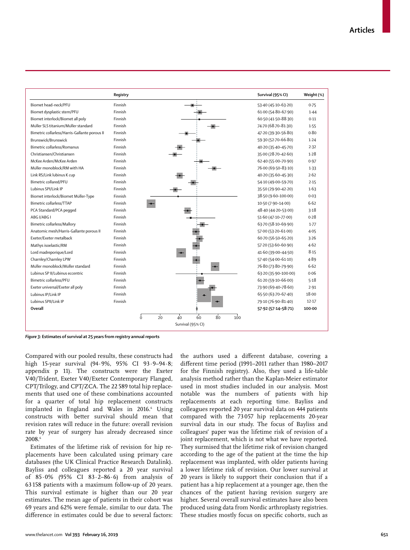

*Figure 3:* **Estimates of survival at 25 years from registry annual reports**

Compared with our pooled results, these constructs had high 15-year survival (94·9%, 95% CI 93·9–94·8; appendix p 11). The constructs were the Exeter V40/Trident, Exeter V40/Exeter Contemporary Flanged, CPT/Trilogy, and CPT/ZCA. The 22 589 total hip replacements that used one of these combinations accounted for a quarter of total hip replacement constructs implanted in England and Wales in 2016.<sup>6</sup> Using constructs with better survival should mean that revision rates will reduce in the future: overall revision rate by year of surgery has already decreased since 2008.6

Estimates of the lifetime risk of revision for hip replacements have been calculated using primary care databases (the UK Clinical Practice Research Datalink). Bayliss and colleagues reported a 20 year survival of 85·0% (95% CI 83·2–86·6) from analysis of 63 158 patients with a maximum follow-up of 20 years. This survival estimate is higher than our 20 year estimates. The mean age of patients in their cohort was 69 years and 62% were female, similar to our data. The difference in estimates could be due to several factors: the authors used a different database, covering a different time period (1991–2011 rather than 1980–2017 for the Finnish registry). Also, they used a life-table analysis method rather than the Kaplan-Meier estimator used in most studies included in our analysis. Most notable was the numbers of patients with hip replacements at each reporting time. Bayliss and colleagues reported 20 year survival data on 444 patients compared with the 73 057 hip replacements 20-year survival data in our study. The focus of Bayliss and colleagues' paper was the lifetime risk of revision of a joint replacement, which is not what we have reported. They surmised that the lifetime risk of revision changed according to the age of the patient at the time the hip replacement was implanted, with older patients having a lower lifetime risk of revision. Our lower survival at 20 years is likely to support their conclusion that if a patient has a hip replacement at a younger age, then the chances of the patient having revision surgery are higher. Several overall survival estimates have also been produced using data from Nordic arthroplasty registries. These studies mostly focus on specific cohorts, such as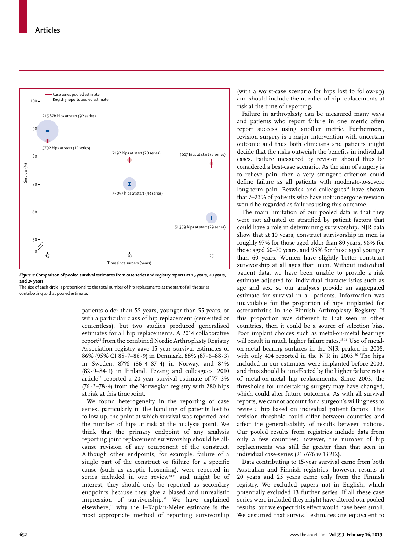

*Figure 4:* **Comparison of pooled survival estimates from case series and registry reports at 15 years, 20 years, and 25 years**

The size of each circle is proportional to the total number of hip replacements at the start of all the series contributing to that pooled estimate.

> patients older than 55 years, younger than 55 years, or with a particular class of hip replacement (cemented or cementless), but two studies produced generalised estimates for all hip replacements. A 2014 collaborative report<sup>28</sup> from the combined Nordic Arthroplasty Registry Association registry gave 15 year survival estimates of 86% (95% CI 85·7–86·9) in Denmark, 88% (87·6–88·3) in Sweden, 87% (86·4–87·4) in Norway, and 84% (82·9–84·1) in Finland. Fevang and colleagues' 2010 article<sup>29</sup> reported a 20 year survival estimate of  $77.3%$  $(76.3-78.4)$  from the Norwegian registry with 280 hips at risk at this timepoint.

> We found heterogeneity in the reporting of case series, particularly in the handling of patients lost to follow-up, the point at which survival was reported, and the number of hips at risk at the analysis point. We think that the primary endpoint of any analysis reporting joint replacement survivorship should be allcause revision of any component of the construct. Although other endpoints, for example, failure of a single part of the construct or failure for a specific cause (such as aseptic loosening), were reported in series included in our review<sup>30,31</sup> and might be of interest, they should only be reported as secondary endpoints because they give a biased and unrealistic impression of survivorship.<sup>32</sup> We have explained elsewhere,33 why the 1–Kaplan-Meier estimate is the most appropriate method of reporting survivorship

(with a worst-case scenario for hips lost to follow-up) and should include the number of hip replacements at risk at the time of reporting.

Failure in arthroplasty can be measured many ways and patients who report failure in one metric often report success using another metric. Furthermore, revision surgery is a major intervention with uncertain outcome and thus both clinicians and patients might decide that the risks outweigh the benefits in individual cases. Failure measured by revision should thus be considered a best-case scenario. As the aim of surgery is to relieve pain, then a very stringent criterion could define failure as all patients with moderate-to-severe long-term pain. Beswick and colleagues<sup>34</sup> have shown that 7–23% of patients who have not undergone revision would be regarded as failures using this outcome.

The main limitation of our pooled data is that they were not adjusted or stratified by patient factors that could have a role in determining survivorship. NJR data show that at 10 years, construct survivorship in men is roughly 97% for those aged older than 80 years, 96% for those aged 60–70 years, and 95% for those aged younger than 60 years. Women have slightly better construct survivorship at all ages than men. Without individual patient data, we have been unable to provide a risk estimate adjusted for individual characteristics such as age and sex, so our analyses provide an aggregated estimate for survival in all patients. Information was unavailable for the proportion of hips implanted for osteoarthritis in the Finnish Arthroplasty Registry. If this proportion was different to that seen in other countries, then it could be a source of selection bias. Poor implant choices such as metal-on-metal bearings will result in much higher failure rates.<sup>35,36</sup> Use of metalon-metal bearing surfaces in the NJR peaked in 2008, with only 404 reported in the NJR in 2003. $36$  The hips included in our estimates were implanted before 2003, and thus should be unaffected by the higher failure rates of metal-on-metal hip replacements. Since 2003, the thresholds for undertaking surgery may have changed, which could alter future outcomes. As with all survival reports, we cannot account for a surgeon's willingness to revise a hip based on individual patient factors. This revision threshold could differ between countries and affect the generalisability of results between nations. Our pooled results from registries include data from only a few countries; however, the number of hip replacements was still far greater than that seen in individual case-series (215 676 *vs* 13 212).

Data contributing to 15-year survival came from both Australian and Finnish registries; however, results at 20 years and 25 years came only from the Finnish registry. We excluded papers not in English, which potentially excluded 13 further series. If all these case series were included they might have altered our pooled results, but we expect this effect would have been small. We assumed that survival estimates are equivalent to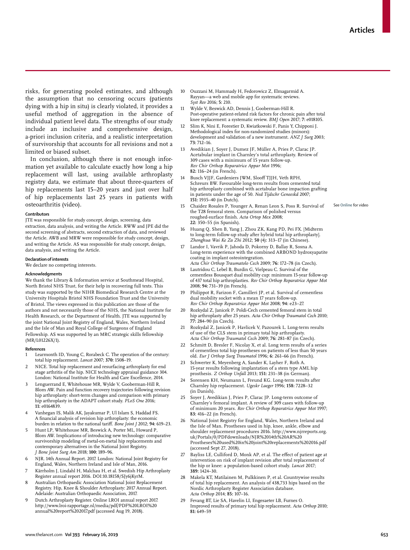See **Online** for video

risks, for generating pooled estimates, and although the assumption that no censoring occurs (patients dying with a hip in situ) is clearly violated, it provides a useful method of aggregation in the absence of individual patient level data. The strengths of our study include an inclusive and comprehensive design, a-priori inclusion criteria, and a realistic interpretation of survivorship that accounts for all revisions and not a limited or biased subset.

In conclusion, although there is not enough information yet available to calculate exactly how long a hip replacement will last, using available arthroplasty registry data, we estimate that about three-quarters of hip replacements last 15–20 years and just over half of hip replacements last 25 years in patients with osteoarthritis (video).

#### **Contributors**

JTE was responsible for study concept, design, screening, data extraction, data analysis, and writing the Article. RWW and JPE did the second screening of abstracts, second extraction of data, and reviewed the Article. AWB and MRW were responsible for study concept, design, and writing the Article. AS was responsible for study concept, design, data analysis, and writing the Article.

#### **Declaration of interests**

We declare no competing interests.

#### **Acknowledgments**

We thank the Library & Information service at Southmead Hospital, North Bristol NHS Trust, for their help in recovering full texts. This study was supported by the NIHR Biomedical Research Centre at the University Hospitals Bristol NHS Foundation Trust and the University of Bristol. The views expressed in this publication are those of the authors and not necessarily those of the NHS, the National Institute for Health Research, or the Department of Health. JTE was supported by the joint National Joint Registry of England, Wales, Northern Ireland and the Isle of Man and Royal College of Surgeons of England Fellowship. AS was supported by an MRC strategic skills fellowship (MR/L01226X/1).

#### **References**

- 1 Learmonth ID, Young C, Rorabeck C. The operation of the century: total hip replacement. *Lancet* 2007; **370:** 1508–19.
- NICE. Total hip replacement and resurfacing arthroplasty for end stage arthritis of the hip. NICE technology appraisal guidance 304. London: National Institute for Health and Care Excellence, 2014.
- Lenguerrand E, Whitehouse MR, Wylde V, Gooberman-Hill R, Blom AW. Pain and function recovery trajectories following revision hip arthroplasty: short-term changes and comparison with primary hip arthroplasty in the ADAPT cohort study. *PLoS One* 2016; **11:** e0164839.
- 4 Vanhegan IS, Malik AK, Jayakumar P, Ul Islam S, Haddad FS. A financial analysis of revision hip arthroplasty: the economic burden in relation to the national tariff. *Bone Joint J* 2012; **94:** 619–23.
- 5 Hunt LP, Whitehouse MR, Beswick A, Porter ML, Howard P, Blom AW. Implications of introducing new technology: comparative survivorship modeling of metal-on-metal hip replacements and contemporary alternatives in the National Joint Registry. *J Bone Joint Surg Am* 2018; **100:** 189–96.
- 6 NJR. 14th Annual Report. 2017. London: National Joint Registry for England, Wales, Northern Ireland and Isle of Man, 2016.
- Kärrholm J, Lindahl H, Malchau H, et al. Swedish Hip Arthroplasty Register annual report 2016. DOI:10.18158/SJy6jKyrM.
- 8 Australian Orthopaedic Association National Joint Replacement Registry. Hip, Knee & Shoulder Arthroplasty: 2017 Annual Report. Adelaide: Australian Orthopaedic Association, 2017.
- 9 Dutch Arthroplasty Register. Online LROI annual report 2017. http://www.lroi-rapportage.nl/media/pdf/PDF%20LROI%20 annual%20report%202017.pdf (accessed Aug 19, 2018).
- 10 Ouzzani M, Hammady H, Fedorowicz Z, Elmagarmid A. Rayyan—a web and mobile app for systematic reviews. *Syst Rev* 2016; **5:** 210.
- 11 Wylde V, Beswick AD, Dennis J, Gooberman-Hill R. Post-operative patient-related risk factors for chronic pain after total knee replacement: a systematic review. *BMJ Open* 2017; **7:** e018105.
- Slim K, Nini E, Forestier D, Kwiatkowski F, Panis Y, Chipponi J. Methodological index for non-randomized studies (minors): development and validation of a new instrument. *ANZ J Surg* 2003; **73:** 712–16.
- 13 Avedikian J, Soyer J, Dumez JF, Müller A, Pries P, Clarac JP. Acetabular implant in Charnley's total arthroplasty. Review of 309 cases with a minimum of 15 years follow-up. *Rev Chir Orthop Reparatrice Appar Mot* 1996; **82:** 116–24 (in French).
- Busch VJJF, Gardeniers JWM, Slooff TJJH, Veth RPH, Schreurs BW. Favourable long-term results from cemented total hip arthroplasty combined with acetabular bone impaction grafting in patients under the age of 50. *Ned Tijdschr Geneeskd* 2007; **151:** 1935–40 (in Dutch).
- 15 Chaidez Rosales P, Younger A, Renan Leon S, Poss R. Survival of the T28 femoral stem. Comparison of polished versus roughed-surface finish. *Acta Ortop Mex* 2008; **22:** 350–55 (in Spanish).
- 16 Huang Q, Shen B, Yang J, Zhou ZK, Kang PD, Pei FX. [Midterm to long-term follow-up study after hybrid total hip arthroplasty]. *Zhonghua Wai Ke Za Zhi* 2012; **50** (4)**:** 313–17 (in Chinese).
- Landor I, Vavrik P, Jahoda D, Pokorny D, Ballay R, Sosna A. Long-term experience with the combined ARBOND hydroxyapatite coating in implant osteointegration. *Acta Chir Orthop Traumatolo Cech* 2009; **76:** 172–78 (in Czech).
- Lautridou C, Lebel B, Burdin G, Vielpeau C. Survival of the cementless Bousquet dual mobility cup: minimum 15-year follow-up of 437 total hip arthroplasties. *Rev Chir Orthop Reparatrice Appar Mot*  2008; **94:** 731–39 (in French).
- 19 Philippot R, Farizon F, Camilleri JP, et al. Survival of cementless dual mobility socket with a mean 17 years follow-up. *Rev Chir Orthop Reparatrice Appar Mot* 2008; **94:** e23–27.
- Rozkydal Z, Janicek P. Poldi-Cech cemented femoral stem in total hip arthroplasty after 25 years. *Acta Chir Orthop Traumatol Cech* 2010; **77:** 284–90 (in Czech).
- 21 Rozkydal Z, Janicek P, Havlicek V, Pazourek L. Long-term results of use of the CLS stem in primary total hip arthroplasty. *Acta Chir Orthop Traumatol Cech* 2009; **76:** 281–87 (in Czech).
- 22 Schmitt D, Bresler F, Nicolay X, et al. Long term results of a series of cementless total hip prostheses on patients of less than 50 years old. *Eur J Orthop Surg Traumatol* 1996; **6:** 261–66 (in French).
- 23 Schwerter K, Meyenberg A, Sander K, Layher F, Roth A. 15-year results following implantation of a stem type AML hip prosthesis. *Z Orthop Unfall* 2013; **151:** 231–38 (in German).
- 24 Sorensen KH, Neumann L, Freund KG. Long-term results after Charnley hip replacement. *Ugeskr Laeger* 1996; **158:** 7228–32 (in Danish).
- 25 Soyer J, Avedikian J, Pries P, Clarac JP. Long-term outcome of Charnley's femoral implant. A review of 309 cases with follow-up of minimum 20 years. *Rev Chir Orthop Reparatrice Appar Mot* 1997; **83:** 416–22 (in French).
- 26 National Joint Registry for England, Wales, Northern Ireland and the Isle of Man. Prostheses used in hip, knee, ankle, elbow and shoulder replacement procedures 2016. http://www.njrreports.org. uk/Portals/0/PDFdownloads/NJR%2014th%20AR%20 Prostheses%20used%20in%20joint%20replacements%202016.pdf (accessed Sept 27, 2018).
- Bayliss LE, Culliford D, Monk AP, et al. The effect of patient age at intervention on risk of implant revision after total replacement of the hip or knee: a population-based cohort study. *Lancet* 2017; **389:** 1424–30.
- 28 Makela KT, Matilainen M, Pulkkinen P, et al. Countrywise results of total hip replacement. An analysis of 438,733 hips based on the Nordic Arthroplasty Register Association database. *Acta Orthop* 2014; **85:** 107–16.
- Fevang BT, Lie SA, Havelin LI, Engesaeter LB, Furnes O. Improved results of primary total hip replacement. *Acta Orthop* 2010; **81:** 649–59